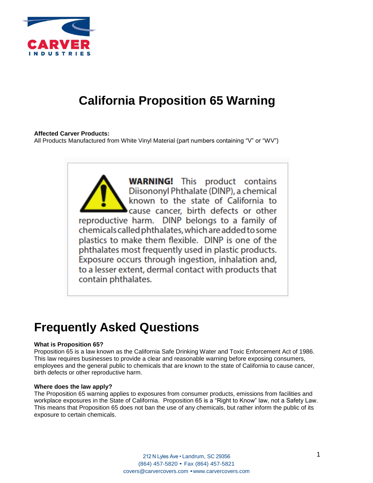

# **California Proposition 65 Warning**

# **Affected Carver Products:**

All Products Manufactured from White Vinyl Material (part numbers containing "V" or "WV")

**WARNING!** This product contains Diisononyl Phthalate (DINP), a chemical known to the state of California to cause cancer, birth defects or other reproductive harm. DINP belongs to a family of chemicals called phthalates, which are added to some plastics to make them flexible. DINP is one of the phthalates most frequently used in plastic products. Exposure occurs through ingestion, inhalation and, to a lesser extent, dermal contact with products that contain phthalates.

# **Frequently Asked Questions**

#### **What is Proposition 65?**

Proposition 65 is a law known as the California Safe Drinking Water and Toxic Enforcement Act of 1986. This law requires businesses to provide a clear and reasonable warning before exposing consumers, employees and the general public to chemicals that are known to the state of California to cause cancer, birth defects or other reproductive harm.

#### **Where does the law apply?**

The Proposition 65 warning applies to exposures from consumer products, emissions from facilities and workplace exposures in the State of California. Proposition 65 is a "Right to Know" law, not a Safety Law. This means that Proposition 65 does not ban the use of any chemicals, but rather inform the public of its exposure to certain chemicals.